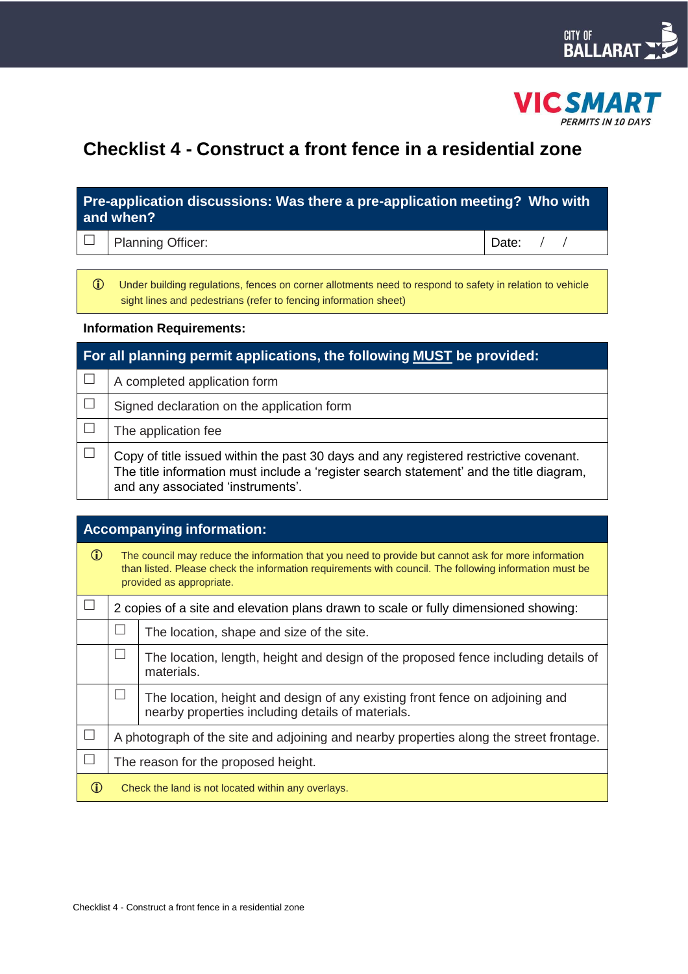



# **Checklist 4 - Construct a front fence in a residential zone**

## **Pre-application discussions: Was there a pre-application meeting? Who with and when?**

 $\Box$  | Planning Officer:  $\Box$  | Date:  $\Box$  / Date:  $\Box$  /

 Under building regulations, fences on corner allotments need to respond to safety in relation to vehicle sight lines and pedestrians (refer to fencing information sheet)

#### **Information Requirements:**

| For all planning permit applications, the following MUST be provided: |                                                                                                                                                                                                                       |  |
|-----------------------------------------------------------------------|-----------------------------------------------------------------------------------------------------------------------------------------------------------------------------------------------------------------------|--|
|                                                                       | A completed application form                                                                                                                                                                                          |  |
|                                                                       | Signed declaration on the application form                                                                                                                                                                            |  |
|                                                                       | The application fee                                                                                                                                                                                                   |  |
|                                                                       | Copy of title issued within the past 30 days and any registered restrictive covenant.<br>The title information must include a 'register search statement' and the title diagram,<br>and any associated 'instruments'. |  |

| <b>Accompanying information:</b> |                                                                                                                                                                                                                                           |                                                                                                                                   |  |
|----------------------------------|-------------------------------------------------------------------------------------------------------------------------------------------------------------------------------------------------------------------------------------------|-----------------------------------------------------------------------------------------------------------------------------------|--|
| $\mathbf{r}$                     | The council may reduce the information that you need to provide but cannot ask for more information<br>than listed. Please check the information requirements with council. The following information must be<br>provided as appropriate. |                                                                                                                                   |  |
|                                  | 2 copies of a site and elevation plans drawn to scale or fully dimensioned showing:                                                                                                                                                       |                                                                                                                                   |  |
|                                  |                                                                                                                                                                                                                                           | The location, shape and size of the site.                                                                                         |  |
|                                  |                                                                                                                                                                                                                                           | The location, length, height and design of the proposed fence including details of<br>materials.                                  |  |
|                                  |                                                                                                                                                                                                                                           | The location, height and design of any existing front fence on adjoining and<br>nearby properties including details of materials. |  |
| $\mathbf{L}$                     | A photograph of the site and adjoining and nearby properties along the street frontage.                                                                                                                                                   |                                                                                                                                   |  |
|                                  | The reason for the proposed height.                                                                                                                                                                                                       |                                                                                                                                   |  |
| Œ                                | Check the land is not located within any overlays.                                                                                                                                                                                        |                                                                                                                                   |  |